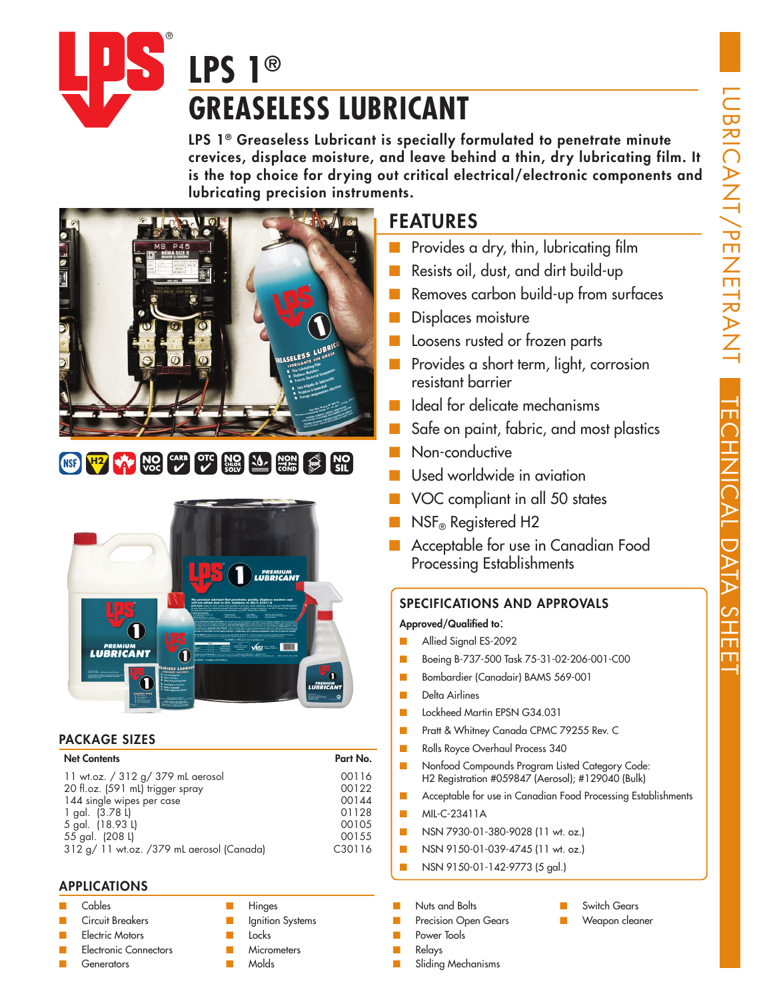

# **GREASELESS LUBRICANT**

LPS 1<sup>®</sup> Greaseless Lubricant is specially formulated to penetrate minute crevices, displace moisture, and leave behind a thin, dry lubricating film. It is the top choice for drying out critical electrical/electronic components and lubricating precision instruments.



# **H2 W**<sub>C</sub> **W**<sub>C</sub> **CARB OTC W<sub>GC</sub> W**<sub>C</sub> **W**<sub>C</sub> **W**<sub>C</sub> **CH**<sub>C</sub>



# PACKAGE SIZES

# Net Contents Part No.

| 11 wt.oz. / 312 g/ 379 mL aerosol         | 00116  |  |
|-------------------------------------------|--------|--|
| 20 fl.oz. (591 mL) trigger spray          | 00122  |  |
| 144 single wipes per case                 | 00144  |  |
| 1 gal. (3.78 L)                           | 01128  |  |
| 5 gal. (18.93 L)                          | 00105  |  |
| 55 gal. (208 L)                           | 00155  |  |
| 312 g/ 11 wt.oz. /379 mL aerosol (Canada) | C30116 |  |

# APPLICATIONS

#### ■ Cables

- Circuit Breakers
- Electric Motors
- **Electronic Connectors**
- **Generators**
- **Hinges**
- **Ignition Systems** ■ Locks
- **Micrometers**
- Molds

# FEATURES

- Provides a dry, thin, lubricating film
- Resists oil, dust, and dirt build-up
- Removes carbon build-up from surfaces
- Displaces moisture
- Loosens rusted or frozen parts
- Provides a short term, light, corrosion resistant barrier
- Ideal for delicate mechanisms
- Safe on paint, fabric, and most plastics
- Non-conductive
- Used worldwide in aviation
- VOC compliant in all 50 states
- **NSF®** Registered H2
- Acceptable for use in Canadian Food Processing Establishments

# SPECIFICATIONS AND APPROVALS

# Approved/Qualified to:

- Allied Signal ES-2092
- Boeing B-737-500 Task 75-31-02-206-001-C00
- Bombardier (Canadair) BAMS 569-001
- Delta Airlines
- Lockheed Martin EPSN G34.031
- Pratt & Whitney Canada CPMC 79255 Rev. C
- Rolls Royce Overhaul Process 340
- Nonfood Compounds Program Listed Category Code: H2 Registration #059847 (Aerosol); #129040 (Bulk)
- Acceptable for use in Canadian Food Processing Establishments
- MIL-C-23411A
- NSN 7930-01-380-9028 (11 wt. oz.)
- NSN 9150-01-039-4745 (11 wt. oz.)
- NSN 9150-01-142-9773 (5 gal.)
- Nuts and Bolts
- **Precision Open Gears**
- Power Tools
- Relays
- Sliding Mechanisms
- Switch Gears
- Weapon cleaner
- 
-